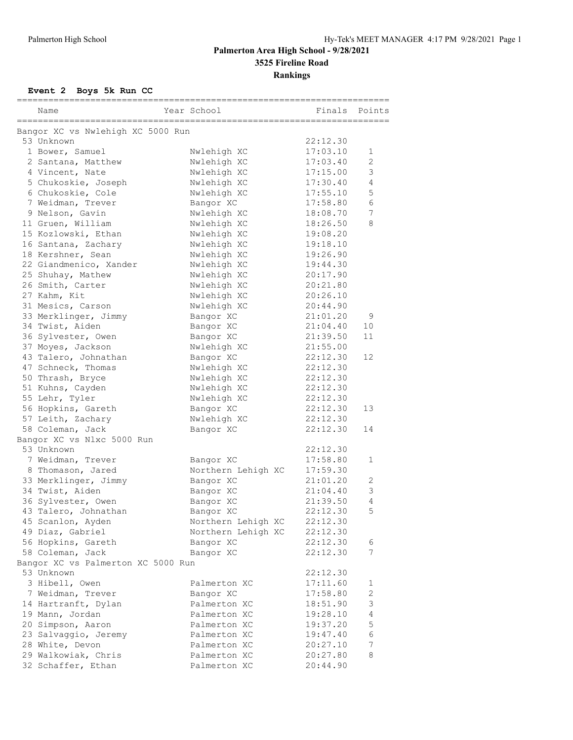### **Event 2 Boys 5k Run CC**

| Name                                  | Year School        | Finals   | Points         |
|---------------------------------------|--------------------|----------|----------------|
| ===================================== |                    |          |                |
| Bangor XC vs Nwlehigh XC 5000 Run     |                    |          |                |
| 53 Unknown                            |                    | 22:12.30 |                |
| 1 Bower, Samuel                       | Nwlehigh XC        | 17:03.10 | 1              |
| 2 Santana, Matthew                    | Nwlehigh XC        | 17:03.40 | $\overline{2}$ |
| 4 Vincent, Nate                       | Nwlehigh XC        | 17:15.00 | 3              |
| 5 Chukoskie, Joseph                   | Nwlehigh XC        | 17:30.40 | 4              |
| 6 Chukoskie, Cole                     | Nwlehigh XC        | 17:55.10 | 5              |
| 7 Weidman, Trever                     | Bangor XC          | 17:58.80 | 6              |
| 9 Nelson, Gavin                       | Nwlehigh XC        | 18:08.70 | 7              |
| 11 Gruen, William                     | Nwlehigh XC        | 18:26.50 | 8              |
| 15 Kozlowski, Ethan                   | Nwlehigh XC        | 19:08.20 |                |
| 16 Santana, Zachary                   | Nwlehigh XC        | 19:18.10 |                |
| 18 Kershner, Sean                     | Nwlehigh XC        | 19:26.90 |                |
| 22 Giandmenico, Xander                | Nwlehigh XC        | 19:44.30 |                |
| 25 Shuhay, Mathew                     | Nwlehigh XC        | 20:17.90 |                |
| 26 Smith, Carter                      | Nwlehigh XC        | 20:21.80 |                |
| 27 Kahm, Kit                          | Nwlehigh XC        | 20:26.10 |                |
| 31 Mesics, Carson                     | Nwlehigh XC        | 20:44.90 |                |
| 33 Merklinger, Jimmy                  | Bangor XC          | 21:01.20 | 9              |
| 34 Twist, Aiden                       | Bangor XC          | 21:04.40 | 10             |
| 36 Sylvester, Owen                    | Bangor XC          | 21:39.50 | 11             |
| 37 Moyes, Jackson                     | Nwlehigh XC        | 21:55.00 |                |
| 43 Talero, Johnathan                  | Bangor XC          | 22:12.30 | 12             |
| 47 Schneck, Thomas                    | Nwlehigh XC        | 22:12.30 |                |
| 50 Thrash, Bryce                      | Nwlehigh XC        | 22:12.30 |                |
| 51 Kuhns, Cayden                      | Nwlehigh XC        | 22:12.30 |                |
| 55 Lehr, Tyler                        | Nwlehigh XC        | 22:12.30 |                |
| 56 Hopkins, Gareth                    | Bangor XC          | 22:12.30 | 13             |
| 57 Leith, Zachary                     | Nwlehigh XC        | 22:12.30 |                |
| 58 Coleman, Jack                      | Bangor XC          | 22:12.30 | 14             |
| Bangor XC vs Nlxc 5000 Run            |                    |          |                |
| 53 Unknown                            |                    | 22:12.30 |                |
| 7 Weidman, Trever                     | Bangor XC          | 17:58.80 | 1              |
| 8 Thomason, Jared                     | Northern Lehigh XC | 17:59.30 |                |
| 33 Merklinger, Jimmy                  | Bangor XC          | 21:01.20 | 2              |
| 34 Twist, Aiden                       | Bangor XC          | 21:04.40 | 3              |
| 36 Sylvester, Owen                    | Bangor XC          | 21:39.50 | $\overline{4}$ |
| 43 Talero, Johnathan                  | Bangor XC          | 22:12.30 | 5              |
| 45 Scanlon, Ayden                     | Northern Lehigh XC | 22:12.30 |                |
| 49 Diaz, Gabriel                      | Northern Lehigh XC | 22:12.30 |                |
| 56 Hopkins, Gareth                    | Bangor XC          | 22:12.30 | 6              |
| 58 Coleman, Jack                      | Bangor XC          | 22:12.30 | 7              |
| Bangor XC vs Palmerton XC 5000 Run    |                    |          |                |
| 53 Unknown                            |                    | 22:12.30 |                |
| 3 Hibell, Owen                        | Palmerton XC       | 17:11.60 | 1              |
| 7 Weidman, Trever                     | Bangor XC          | 17:58.80 | $\mathbf{2}$   |
| 14 Hartranft, Dylan                   | Palmerton XC       | 18:51.90 | 3              |
| 19 Mann, Jordan                       | Palmerton XC       | 19:28.10 | 4              |
| 20 Simpson, Aaron                     | Palmerton XC       | 19:37.20 | 5              |
| 23 Salvaggio, Jeremy                  | Palmerton XC       | 19:47.40 | 6              |
| 28 White, Devon                       | Palmerton XC       | 20:27.10 | 7              |
| 29 Walkowiak, Chris                   | Palmerton XC       | 20:27.80 | 8              |
| 32 Schaffer, Ethan                    | Palmerton XC       | 20:44.90 |                |
|                                       |                    |          |                |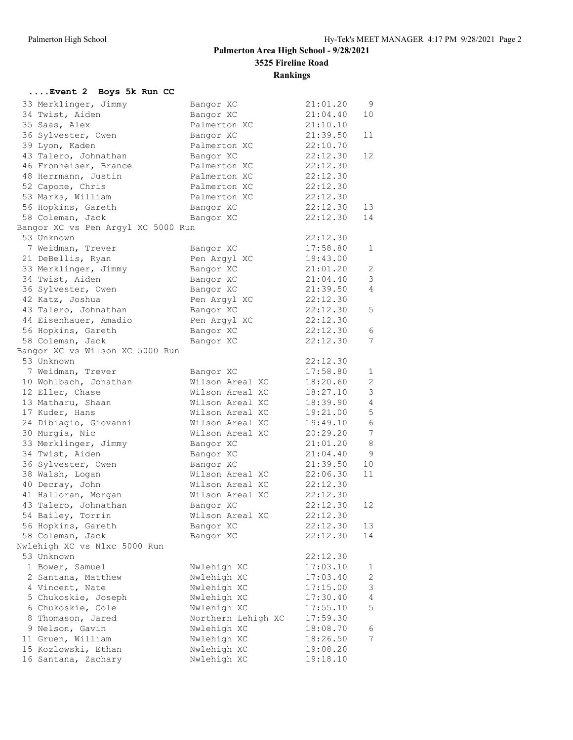| Event 2 Boys 5k Run CC                           |                    |          |                 |
|--------------------------------------------------|--------------------|----------|-----------------|
| 33 Merklinger, Jimmy                             | Bangor XC          | 21:01.20 | 9               |
| 34 Twist, Aiden                                  | Bangor XC          | 21:04.40 | 10              |
| 35 Saas, Alex                                    | Palmerton XC       | 21:10.10 |                 |
| 36 Sylvester, Owen                               | Bangor XC          | 21:39.50 | 11              |
| 39 Lyon, Kaden                                   | Palmerton XC       | 22:10.70 |                 |
| 43 Talero, Johnathan                             | Bangor XC          | 22:12.30 | 12              |
| 46 Fronheiser, Brance                            | Palmerton XC       | 22:12.30 |                 |
| 48 Herrmann, Justin                              | Palmerton XC       | 22:12.30 |                 |
|                                                  | Palmerton XC       | 22:12.30 |                 |
| 52 Capone, Chris                                 |                    | 22:12.30 |                 |
| 53 Marks, William                                | Palmerton XC       |          |                 |
| 56 Hopkins, Gareth                               | Bangor XC          | 22:12.30 | 13              |
| 58 Coleman, Jack                                 | Bangor XC          | 22:12.30 | 14              |
| Bangor XC vs Pen Argyl XC 5000 Run<br>53 Unknown |                    | 22:12.30 |                 |
| 7 Weidman, Trever                                | Bangor XC          | 17:58.80 | $\mathbf{1}$    |
|                                                  | Pen Argyl XC       | 19:43.00 |                 |
| 21 DeBellis, Ryan                                |                    |          |                 |
| 33 Merklinger, Jimmy                             | Bangor XC          | 21:01.20 | $\mathbf{2}$    |
| 34 Twist, Aiden                                  | Bangor XC          | 21:04.40 | 3               |
| 36 Sylvester, Owen                               | Bangor XC          | 21:39.50 | $\overline{4}$  |
| 42 Katz, Joshua                                  | Pen Argyl XC       | 22:12.30 |                 |
| 43 Talero, Johnathan                             | Bangor XC          | 22:12.30 | 5               |
| 44 Eisenhauer, Amadio                            | Pen Argyl XC       | 22:12.30 |                 |
| 56 Hopkins, Gareth                               | Bangor XC          | 22:12.30 | 6               |
| 58 Coleman, Jack                                 | Bangor XC          | 22:12.30 | $7\phantom{.0}$ |
| Bangor XC vs Wilson XC 5000 Run                  |                    |          |                 |
| 53 Unknown                                       |                    | 22:12.30 |                 |
| 7 Weidman, Trever                                | Bangor XC          | 17:58.80 | 1               |
| 10 Wohlbach, Jonathan                            | Wilson Areal XC    | 18:20.60 | $\overline{2}$  |
| 12 Eller, Chase                                  | Wilson Areal XC    | 18:27.10 | 3               |
| 13 Matharu, Shaan                                | Wilson Areal XC    | 18:39.90 | 4               |
| 17 Kuder, Hans                                   | Wilson Areal XC    | 19:21.00 | 5               |
| 24 Dibiagio, Giovanni                            | Wilson Areal XC    | 19:49.10 | $\sqrt{6}$      |
| 30 Murgia, Nic                                   | Wilson Areal XC    | 20:29.20 | $7\phantom{.0}$ |
| 33 Merklinger, Jimmy                             | Bangor XC          | 21:01.20 | $\,8\,$         |
| 34 Twist, Aiden                                  | Bangor XC          | 21:04.40 | 9               |
| 36 Sylvester, Owen                               |                    | 21:39.50 | 10              |
|                                                  | Bangor XC          |          | 11              |
| 38 Walsh, Logan                                  | Wilson Areal XC    | 22:06.30 |                 |
| 40 Decray, John                                  | Wilson Areal XC    | 22:12.30 |                 |
| 41 Halloran, Morgan                              | Wilson Areal XC    | 22:12.30 |                 |
| 43 Talero, Johnathan                             | Bangor XC          | 22:12.30 | 12              |
| 54 Bailey, Torrin                                | Wilson Areal XC    | 22:12.30 |                 |
| 56 Hopkins, Gareth                               | Bangor XC          | 22:12.30 | 13              |
| 58 Coleman, Jack                                 | Bangor XC          | 22:12.30 | 14              |
| Nwlehigh XC vs Nlxc 5000 Run                     |                    |          |                 |
| 53 Unknown                                       |                    | 22:12.30 |                 |
| 1 Bower, Samuel                                  | Nwlehigh XC        | 17:03.10 | 1               |
| 2 Santana, Matthew                               | Nwlehigh XC        | 17:03.40 | $\mathbf{2}$    |
| 4 Vincent, Nate                                  | Nwlehigh XC        | 17:15.00 | 3               |
| 5 Chukoskie, Joseph                              | Nwlehigh XC        | 17:30.40 | $\overline{4}$  |
| 6 Chukoskie, Cole                                | Nwlehigh XC        | 17:55.10 | 5               |
| 8 Thomason, Jared                                | Northern Lehigh XC | 17:59.30 |                 |
| 9 Nelson, Gavin                                  | Nwlehigh XC        | 18:08.70 | 6               |
| 11 Gruen, William                                | Nwlehigh XC        | 18:26.50 | 7               |
| 15 Kozlowski, Ethan                              | Nwlehigh XC        | 19:08.20 |                 |
| 16 Santana, Zachary                              | Nwlehigh XC        | 19:18.10 |                 |
|                                                  |                    |          |                 |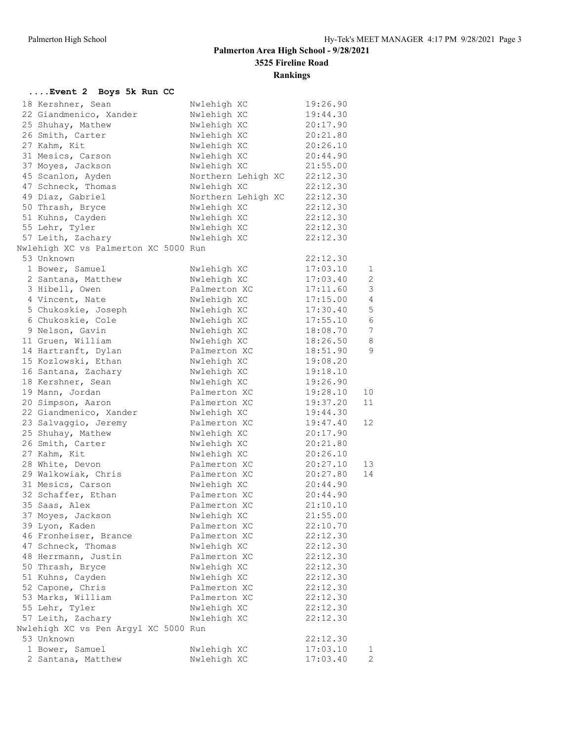### **....Event 2 Boys 5k Run CC**

| 18 Kershner, Sean                                  | Nwlehigh XC                | 19:26.90             |                 |
|----------------------------------------------------|----------------------------|----------------------|-----------------|
| 22 Giandmenico, Xander                             | Nwlehigh XC                | 19:44.30             |                 |
| 25 Shuhay, Mathew                                  | Nwlehigh XC                | 20:17.90             |                 |
| 26 Smith, Carter                                   | Nwlehigh XC                | 20:21.80             |                 |
| 27 Kahm, Kit                                       | Nwlehigh XC                | 20:26.10             |                 |
| 31 Mesics, Carson                                  | Nwlehigh XC                | 20:44.90             |                 |
| 37 Moyes, Jackson                                  | Nwlehigh XC                | 21:55.00             |                 |
| 45 Scanlon, Ayden                                  | Northern Lehigh XC         | 22:12.30             |                 |
| 47 Schneck, Thomas                                 | Nwlehigh XC                | 22:12.30             |                 |
| 49 Diaz, Gabriel                                   | Northern Lehigh XC         | 22:12.30             |                 |
| 50 Thrash, Bryce                                   | Nwlehigh XC                | 22:12.30             |                 |
| 51 Kuhns, Cayden                                   | Nwlehigh XC                | 22:12.30             |                 |
| 55 Lehr, Tyler                                     | Nwlehigh XC                | 22:12.30             |                 |
| 57 Leith, Zachary                                  | Nwlehigh XC                | 22:12.30             |                 |
| Nwlehigh XC vs Palmerton XC 5000 Run               |                            |                      |                 |
| 53 Unknown                                         |                            | 22:12.30             |                 |
|                                                    |                            |                      |                 |
| 1 Bower, Samuel                                    | Nwlehigh XC                | 17:03.10             | $\mathbf{1}$    |
| 2 Santana, Matthew                                 | Nwlehigh XC                | 17:03.40             | $\mathbf{2}$    |
| 3 Hibell, Owen                                     | Palmerton XC               | 17:11.60             | 3               |
| 4 Vincent, Nate                                    | Nwlehigh XC                | 17:15.00             | $\overline{4}$  |
| 5 Chukoskie, Joseph                                | Nwlehigh XC                | 17:30.40             | 5               |
| 6 Chukoskie, Cole                                  | Nwlehigh XC                | 17:55.10             | $\sqrt{6}$      |
| 9 Nelson, Gavin                                    | Nwlehigh XC                | 18:08.70             | $7\overline{ }$ |
| 11 Gruen, William                                  | Nwlehigh XC                | 18:26.50             | 8               |
| 14 Hartranft, Dylan                                | Palmerton XC               | 18:51.90             | $\mathcal{G}$   |
| 15 Kozlowski, Ethan                                | Nwlehigh XC                | 19:08.20             |                 |
| 16 Santana, Zachary                                | Nwlehigh XC                | 19:18.10             |                 |
| 18 Kershner, Sean                                  | Nwlehigh XC                | 19:26.90             |                 |
| 19 Mann, Jordan                                    | Palmerton XC               | 19:28.10             | 10              |
| 20 Simpson, Aaron                                  | Palmerton XC               | 19:37.20             | 11              |
| 22 Giandmenico, Xander                             | Nwlehigh XC                | 19:44.30             |                 |
| 23 Salvaggio, Jeremy                               | Palmerton XC               | 19:47.40             | 12 <sup>°</sup> |
| 25 Shuhay, Mathew                                  | Nwlehigh XC                | 20:17.90             |                 |
| 26 Smith, Carter                                   | Nwlehigh XC                | 20:21.80             |                 |
| 27 Kahm, Kit                                       | Nwlehigh XC                | 20:26.10             |                 |
| 28 White, Devon                                    | Palmerton XC               | 20:27.10             | 13              |
| 29 Walkowiak, Chris                                | Palmerton XC               | 20:27.80             | 14              |
| 31 Mesics, Carson                                  | Nwlehigh XC                | 20:44.90             |                 |
| 32 Schaffer, Ethan                                 | Palmerton XC               | 20:44.90             |                 |
| 35 Saas, Alex                                      | Palmerton XC               | 21:10.10             |                 |
| 37 Moyes, Jackson                                  | Nwlehigh XC                | 21:55.00             |                 |
| 39 Lyon, Kaden                                     | Palmerton XC               | 22:10.70             |                 |
| 46 Fronheiser, Brance                              | Palmerton XC               | 22:12.30             |                 |
| 47 Schneck, Thomas                                 | Nwlehigh XC                | 22:12.30             |                 |
| 48 Herrmann, Justin                                | Palmerton XC               | 22:12.30             |                 |
| 50 Thrash, Bryce                                   | Nwlehigh XC                | 22:12.30             |                 |
| 51 Kuhns, Cayden                                   | Nwlehigh XC                | 22:12.30             |                 |
|                                                    | Palmerton XC               |                      |                 |
| 52 Capone, Chris                                   | Palmerton XC               | 22:12.30<br>22:12.30 |                 |
| 53 Marks, William<br>55 Lehr, Tyler                | Nwlehigh XC                | 22:12.30             |                 |
|                                                    |                            |                      |                 |
| 57 Leith, Zachary                                  | Nwlehigh XC                | 22:12.30             |                 |
| Nwlehigh XC vs Pen Argyl XC 5000 Run<br>53 Unknown |                            |                      |                 |
| 1 Bower, Samuel                                    |                            | 22:12.30             |                 |
| 2 Santana, Matthew                                 | Nwlehigh XC<br>Nwlehigh XC | 17:03.10<br>17:03.40 | 1<br>2          |
|                                                    |                            |                      |                 |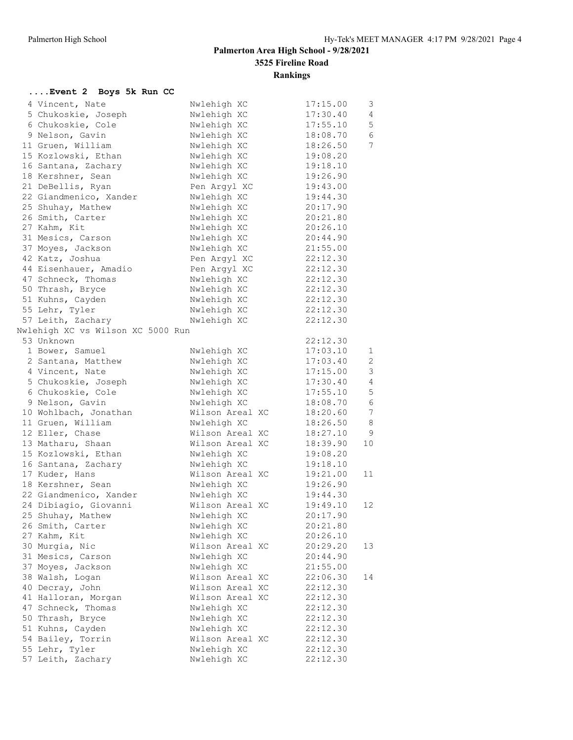| Event 2 Boys 5k Run CC            |                 |          |                 |
|-----------------------------------|-----------------|----------|-----------------|
| 4 Vincent, Nate                   | Nwlehigh XC     | 17:15.00 | 3               |
| 5 Chukoskie, Joseph               | Nwlehigh XC     | 17:30.40 | 4               |
| 6 Chukoskie, Cole                 | Nwlehigh XC     | 17:55.10 | 5               |
| 9 Nelson, Gavin                   | Nwlehigh XC     | 18:08.70 | 6               |
| 11 Gruen, William                 | Nwlehigh XC     | 18:26.50 | 7               |
| 15 Kozlowski, Ethan               | Nwlehigh XC     | 19:08.20 |                 |
| 16 Santana, Zachary               | Nwlehigh XC     | 19:18.10 |                 |
| 18 Kershner, Sean                 | Nwlehigh XC     | 19:26.90 |                 |
| 21 DeBellis, Ryan                 | Pen Argyl XC    | 19:43.00 |                 |
| 22 Giandmenico, Xander            | Nwlehigh XC     | 19:44.30 |                 |
| 25 Shuhay, Mathew                 | Nwlehigh XC     | 20:17.90 |                 |
| 26 Smith, Carter                  | Nwlehigh XC     | 20:21.80 |                 |
| 27 Kahm, Kit                      | Nwlehigh XC     | 20:26.10 |                 |
| 31 Mesics, Carson                 | Nwlehigh XC     | 20:44.90 |                 |
| 37 Moyes, Jackson                 | Nwlehigh XC     | 21:55.00 |                 |
| 42 Katz, Joshua                   | Pen Argyl XC    | 22:12.30 |                 |
| 44 Eisenhauer, Amadio             | Pen Argyl XC    | 22:12.30 |                 |
| 47 Schneck, Thomas                | Nwlehigh XC     | 22:12.30 |                 |
| 50 Thrash, Bryce                  | Nwlehigh XC     | 22:12.30 |                 |
| 51 Kuhns, Cayden                  | Nwlehigh XC     | 22:12.30 |                 |
| 55 Lehr, Tyler                    | Nwlehigh XC     | 22:12.30 |                 |
| 57 Leith, Zachary                 | Nwlehigh XC     | 22:12.30 |                 |
| Nwlehigh XC vs Wilson XC 5000 Run |                 |          |                 |
| 53 Unknown                        |                 | 22:12.30 |                 |
| 1 Bower, Samuel                   | Nwlehigh XC     | 17:03.10 | 1               |
| 2 Santana, Matthew                | Nwlehigh XC     | 17:03.40 | 2               |
| 4 Vincent, Nate                   | Nwlehigh XC     | 17:15.00 | $\mathfrak{Z}$  |
| 5 Chukoskie, Joseph               | Nwlehigh XC     | 17:30.40 | $\overline{4}$  |
| 6 Chukoskie, Cole                 | Nwlehigh XC     | 17:55.10 | $\mathsf S$     |
| 9 Nelson, Gavin                   | Nwlehigh XC     | 18:08.70 | $\epsilon$      |
| 10 Wohlbach, Jonathan             | Wilson Areal XC | 18:20.60 | $7\phantom{.0}$ |
| 11 Gruen, William                 | Nwlehigh XC     | 18:26.50 | $\,8\,$         |
| 12 Eller, Chase                   | Wilson Areal XC | 18:27.10 | 9               |
| 13 Matharu, Shaan                 | Wilson Areal XC | 18:39.90 | 10              |
| 15 Kozlowski, Ethan               | Nwlehigh XC     | 19:08.20 |                 |
| 16 Santana, Zachary               | Nwlehigh XC     | 19:18.10 |                 |
| 17 Kuder, Hans                    | Wilson Areal XC | 19:21.00 | 11              |
| 18 Kershner, Sean                 | Nwlehigh XC     | 19:26.90 |                 |
| 22 Giandmenico, Xander            | Nwlehigh XC     | 19:44.30 |                 |
| 24 Dibiagio, Giovanni             | Wilson Areal XC | 19:49.10 | 12              |
| 25 Shuhay, Mathew                 | Nwlehigh XC     | 20:17.90 |                 |
| 26 Smith, Carter                  | Nwlehigh XC     | 20:21.80 |                 |
| 27 Kahm, Kit                      | Nwlehigh XC     | 20:26.10 |                 |
| 30 Murgia, Nic                    | Wilson Areal XC | 20:29.20 | 13              |
| 31 Mesics, Carson                 | Nwlehigh XC     | 20:44.90 |                 |
| 37 Moyes, Jackson                 | Nwlehigh XC     | 21:55.00 |                 |
| 38 Walsh, Logan                   | Wilson Areal XC | 22:06.30 | 14              |
| 40 Decray, John                   | Wilson Areal XC | 22:12.30 |                 |
| 41 Halloran, Morgan               | Wilson Areal XC | 22:12.30 |                 |
| 47 Schneck, Thomas                | Nwlehigh XC     | 22:12.30 |                 |
| 50 Thrash, Bryce                  | Nwlehigh XC     | 22:12.30 |                 |
| 51 Kuhns, Cayden                  | Nwlehigh XC     | 22:12.30 |                 |
| 54 Bailey, Torrin                 | Wilson Areal XC | 22:12.30 |                 |
| 55 Lehr, Tyler                    | Nwlehigh XC     | 22:12.30 |                 |
| 57 Leith, Zachary                 | Nwlehigh XC     | 22:12.30 |                 |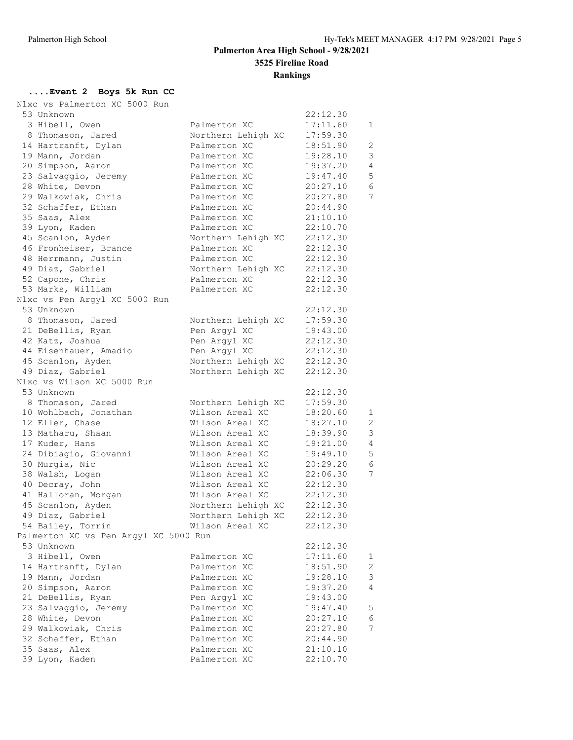### **....Event 2 Boys 5k Run CC**

| Nlxc vs Palmerton XC 5000 Run         |                                    |          |                |
|---------------------------------------|------------------------------------|----------|----------------|
| 53 Unknown                            |                                    | 22:12.30 |                |
| 3 Hibell, Owen                        | Palmerton XC                       | 17:11.60 | 1              |
| 8 Thomason, Jared                     | Northern Lehigh XC                 | 17:59.30 |                |
| 14 Hartranft, Dylan                   | Palmerton XC                       | 18:51.90 | 2              |
| 19 Mann, Jordan                       | Palmerton XC                       | 19:28.10 | 3              |
| 20 Simpson, Aaron                     | Palmerton XC                       | 19:37.20 | $\overline{4}$ |
| 23 Salvaggio, Jeremy                  | Palmerton XC                       | 19:47.40 | 5              |
| 28 White, Devon                       | Palmerton XC                       | 20:27.10 | 6              |
| 29 Walkowiak, Chris                   | Palmerton XC                       | 20:27.80 | 7              |
| 32 Schaffer, Ethan                    | Palmerton XC                       | 20:44.90 |                |
| 35 Saas, Alex                         | Palmerton XC                       | 21:10.10 |                |
| 39 Lyon, Kaden                        | Palmerton XC                       | 22:10.70 |                |
|                                       |                                    | 22:12.30 |                |
| 45 Scanlon, Ayden                     | Northern Lehigh XC<br>Palmerton XC | 22:12.30 |                |
| 46 Fronheiser, Brance                 | Palmerton XC                       | 22:12.30 |                |
| 48 Herrmann, Justin                   |                                    |          |                |
| 49 Diaz, Gabriel                      | Northern Lehigh XC                 | 22:12.30 |                |
| 52 Capone, Chris                      | Palmerton XC                       | 22:12.30 |                |
| 53 Marks, William                     | Palmerton XC                       | 22:12.30 |                |
| Nlxc vs Pen Argyl XC 5000 Run         |                                    |          |                |
| 53 Unknown                            |                                    | 22:12.30 |                |
| 8 Thomason, Jared                     | Northern Lehigh XC                 | 17:59.30 |                |
| 21 DeBellis, Ryan                     | Pen Argyl XC                       | 19:43.00 |                |
| 42 Katz, Joshua                       | Pen Argyl XC                       | 22:12.30 |                |
| 44 Eisenhauer, Amadio                 | Pen Argyl XC                       | 22:12.30 |                |
| 45 Scanlon, Ayden                     | Northern Lehigh XC                 | 22:12.30 |                |
| 49 Diaz, Gabriel                      | Northern Lehigh XC                 | 22:12.30 |                |
| Nlxc vs Wilson XC 5000 Run            |                                    |          |                |
| 53 Unknown                            |                                    | 22:12.30 |                |
| 8 Thomason, Jared                     | Northern Lehigh XC                 | 17:59.30 |                |
| 10 Wohlbach, Jonathan                 | Wilson Areal XC                    | 18:20.60 | 1              |
| 12 Eller, Chase                       | Wilson Areal XC                    | 18:27.10 | 2              |
| 13 Matharu, Shaan                     | Wilson Areal XC                    | 18:39.90 | 3              |
| 17 Kuder, Hans                        | Wilson Areal XC                    | 19:21.00 | $\overline{4}$ |
| 24 Dibiagio, Giovanni                 | Wilson Areal XC                    | 19:49.10 | 5              |
| 30 Murgia, Nic                        | Wilson Areal XC                    | 20:29.20 | 6              |
| 38 Walsh, Logan                       | Wilson Areal XC                    | 22:06.30 | 7              |
| 40 Decray, John                       | Wilson Areal XC                    | 22:12.30 |                |
| 41 Halloran, Morgan                   | Wilson Areal XC                    | 22:12.30 |                |
| 45 Scanlon, Ayden                     | Northern Lehigh XC                 | 22:12.30 |                |
| 49 Diaz, Gabriel                      | Northern Lehigh XC                 | 22:12.30 |                |
| 54 Bailey, Torrin                     | Wilson Areal XC                    | 22:12.30 |                |
| Palmerton XC vs Pen Argyl XC 5000 Run |                                    |          |                |
| 53 Unknown                            |                                    | 22:12.30 |                |
| 3 Hibell, Owen                        | Palmerton XC                       | 17:11.60 | 1              |
| 14 Hartranft, Dylan                   | Palmerton XC                       | 18:51.90 | $\mathbf{2}$   |
| 19 Mann, Jordan                       | Palmerton XC                       | 19:28.10 | 3              |
| 20 Simpson, Aaron                     | Palmerton XC                       | 19:37.20 | 4              |
| 21 DeBellis, Ryan                     | Pen Argyl XC                       | 19:43.00 |                |
| 23 Salvaggio, Jeremy                  | Palmerton XC                       | 19:47.40 | 5              |
| 28 White, Devon                       | Palmerton XC                       | 20:27.10 | 6              |
| 29 Walkowiak, Chris                   | Palmerton XC                       | 20:27.80 | 7              |
| 32 Schaffer, Ethan                    | Palmerton XC                       | 20:44.90 |                |
| 35 Saas, Alex                         | Palmerton XC                       | 21:10.10 |                |
| 39 Lyon, Kaden                        | Palmerton XC                       | 22:10.70 |                |
|                                       |                                    |          |                |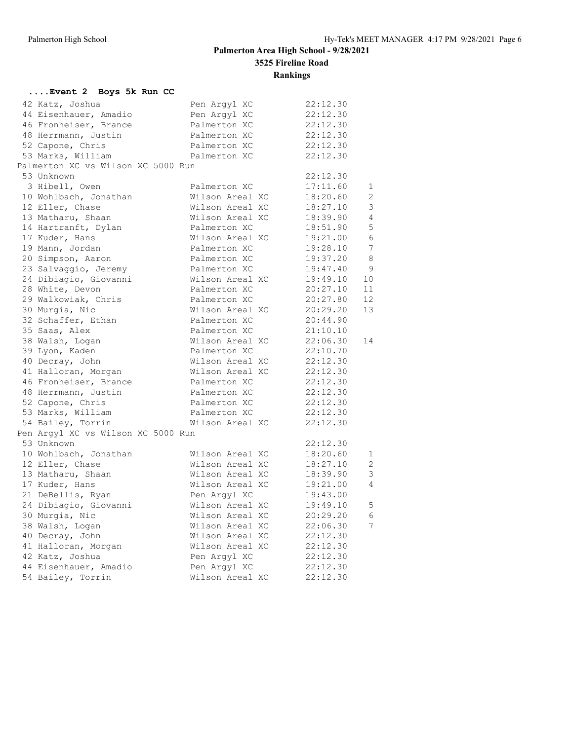#### **....Event 2 Boys 5k Run CC** 42 Katz, Joshua Pen Argyl XC 22:12.30 44 Eisenhauer, Amadio Pen Argyl XC 22:12.30 46 Fronheiser, Brance Palmerton XC 22:12.30 48 Herrmann, Justin Palmerton XC 22:12.30 52 Capone, Chris Palmerton XC 22:12.30 53 Marks, William Palmerton XC 22:12.30 Palmerton XC vs Wilson XC 5000 Run 53 Unknown 22:12.30 3 Hibell, Owen Palmerton XC 17:11.60 1 10 Wohlbach, Jonathan Wilson Areal XC 18:20.60 2 12 Eller, Chase Wilson Areal XC 18:27.10 3 13 Matharu, Shaan Wilson Areal XC 18:39.90 4 14 Hartranft, Dylan Palmerton XC 18:51.90 5 17 Kuder, Hans Wilson Areal XC 19:21.00 6 19 Mann, Jordan Palmerton XC 19:28.10 7 20 Simpson, Aaron Palmerton XC 19:37.20 8 23 Salvaggio, Jeremy Palmerton XC 19:47.40 9 24 Dibiagio, Giovanni Wilson Areal XC 19:49.10 10 28 White, Devon Palmerton XC 20:27.10 11 29 Walkowiak, Chris Palmerton XC 20:27.80 12 30 Murgia, Nic Wilson Areal XC 20:29.20 13 32 Schaffer, Ethan Palmerton XC 20:44.90 35 Saas, Alex Palmerton XC 21:10.10 38 Walsh, Logan Wilson Areal XC 22:06.30 14 39 Lyon, Kaden Palmerton XC 22:10.70 40 Decray, John Wilson Areal XC 22:12.30 41 Halloran, Morgan Wilson Areal XC 22:12.30 46 Fronheiser, Brance Palmerton XC 22:12.30 48 Herrmann, Justin Palmerton XC 22:12.30 52 Capone, Chris Palmerton XC 22:12.30 53 Marks, William Palmerton XC 22:12.30 54 Bailey, Torrin Wilson Areal XC 22:12.30 Pen Argyl XC vs Wilson XC 5000 Run 53 Unknown 22:12.30 10 Wohlbach, Jonathan Wilson Areal XC 18:20.60 1 12 Eller, Chase Wilson Areal XC 18:27.10 2 13 Matharu, Shaan Wilson Areal XC 18:39.90 3 17 Kuder, Hans Wilson Areal XC 19:21.00 4 21 DeBellis, Ryan Pen Argyl XC 19:43.00 24 Dibiagio, Giovanni Wilson Areal XC 19:49.10 5 30 Murgia, Nic Wilson Areal XC 20:29.20 6 38 Walsh, Logan Wilson Areal XC 22:06.30 7 40 Decray, John Wilson Areal XC 22:12.30 41 Halloran, Morgan Wilson Areal XC 22:12.30 42 Katz, Joshua Pen Argyl XC 22:12.30 44 Eisenhauer, Amadio Pen Argyl XC 22:12.30 54 Bailey, Torrin Wilson Areal XC 22:12.30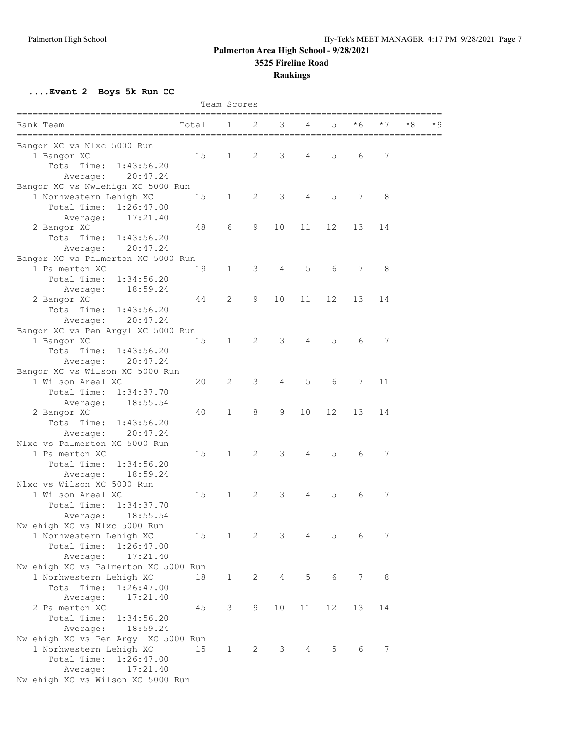### **Palmerton Area High School - 9/28/2021**

**3525 Fireline Road**

### **Rankings**

**....Event 2 Boys 5k Run CC**

| Team Scores                                         |       |                        |                |                |    |    |     |     |           |
|-----------------------------------------------------|-------|------------------------|----------------|----------------|----|----|-----|-----|-----------|
| Rank Team<br>====================================== | Total | 1                      | 2              | 3              | 4  | 5  | * 6 | * 7 | *8<br>* 9 |
| Bangor XC vs Nlxc 5000 Run                          |       |                        |                |                |    |    |     |     |           |
| 1 Bangor XC                                         | 15    | 1                      | 2              | 3              | 4  | 5  | 6   | 7   |           |
| Total Time:<br>1:43:56.20                           |       |                        |                |                |    |    |     |     |           |
| 20:47.24<br>Average:                                |       |                        |                |                |    |    |     |     |           |
| Bangor XC vs Nwlehigh XC 5000 Run                   |       |                        |                |                |    |    |     |     |           |
| 1 Norhwestern Lehigh XC                             | 15    | $1 \quad \blacksquare$ | $\overline{2}$ | 3              | 4  | 5  | 7   | 8   |           |
| Total Time:<br>1:26:47.00                           |       |                        |                |                |    |    |     |     |           |
| 17:21.40<br>Average:                                |       |                        |                |                |    |    |     |     |           |
| 2 Bangor XC                                         | 48    | 6                      | 9              | 10             | 11 | 12 | 13  | 14  |           |
| Total Time:<br>1:43:56.20                           |       |                        |                |                |    |    |     |     |           |
| Average:<br>20:47.24                                |       |                        |                |                |    |    |     |     |           |
| Bangor XC vs Palmerton XC 5000 Run                  |       |                        |                |                |    |    |     |     |           |
|                                                     |       |                        | 3              | $\overline{4}$ | 5  | 6  | 7   | 8   |           |
| 1 Palmerton XC                                      | 19    | $\mathbf{1}$           |                |                |    |    |     |     |           |
| Total Time:<br>1:34:56.20                           |       |                        |                |                |    |    |     |     |           |
| 18:59.24<br>Average:                                |       |                        |                |                |    |    |     |     |           |
| 2 Bangor XC                                         | 44    | 2                      | 9              | 10             | 11 | 12 | 13  | 14  |           |
| Total Time:<br>1:43:56.20                           |       |                        |                |                |    |    |     |     |           |
| Average: 20:47.24                                   |       |                        |                |                |    |    |     |     |           |
| Bangor XC vs Pen Argyl XC 5000 Run                  |       |                        |                |                |    |    |     |     |           |
| 1 Bangor XC                                         | 15    | $\mathbf{1}$           | 2              | 3              | 4  | 5  | 6   | 7   |           |
| Total Time: 1:43:56.20                              |       |                        |                |                |    |    |     |     |           |
| 20:47.24<br>Average:                                |       |                        |                |                |    |    |     |     |           |
| Bangor XC vs Wilson XC 5000 Run                     |       |                        |                |                |    |    |     |     |           |
| 1 Wilson Areal XC                                   | 20    | 2                      | 3              | $\overline{4}$ | 5  | 6  | 7   | 11  |           |
| Total Time: 1:34:37.70                              |       |                        |                |                |    |    |     |     |           |
| 18:55.54<br>Average:                                |       |                        |                |                |    |    |     |     |           |
| 2 Bangor XC                                         | 40    | 1                      | 8              | 9              | 10 | 12 | 13  | 14  |           |
| Total Time:<br>1:43:56.20                           |       |                        |                |                |    |    |     |     |           |
| 20:47.24<br>Average:                                |       |                        |                |                |    |    |     |     |           |
| Nlxc vs Palmerton XC 5000 Run                       |       |                        |                |                |    |    |     |     |           |
| 1 Palmerton XC                                      | 15    | 1                      | $\overline{2}$ | 3              | 4  | 5  | 6   | 7   |           |
| 1:34:56.20<br>Total Time:                           |       |                        |                |                |    |    |     |     |           |
| 18:59.24<br>Average:                                |       |                        |                |                |    |    |     |     |           |
| Nlxc vs Wilson XC 5000 Run                          |       |                        |                |                |    |    |     |     |           |
| 1 Wilson Areal XC                                   | 15    | $\mathbf{1}$           | 2              | 3              | 4  | 5  | 6   | 7   |           |
| Total Time:<br>1:34:37.70                           |       |                        |                |                |    |    |     |     |           |
| 18:55.54<br>Average:                                |       |                        |                |                |    |    |     |     |           |
| Nwlehigh XC vs Nlxc 5000 Run                        |       |                        |                |                |    |    |     |     |           |
| 1 Norhwestern Lehigh XC                             | 15    | $\mathbf{1}$           | $2^{\circ}$    | 3              | 4  | 5  | 6   | 7   |           |
| Total Time:<br>1:26:47.00                           |       |                        |                |                |    |    |     |     |           |
| 17:21.40<br>Average:                                |       |                        |                |                |    |    |     |     |           |
| Nwlehigh XC vs Palmerton XC 5000 Run                |       |                        |                |                |    |    |     |     |           |
|                                                     |       |                        |                |                |    |    |     |     |           |
| 1 Norhwestern Lehigh XC<br>1:26:47.00               | 18    | $\mathbf{1}$           | 2              | $\overline{4}$ | 5  | 6  | 7   | 8   |           |
| Total Time:                                         |       |                        |                |                |    |    |     |     |           |
| Average:<br>17:21.40                                |       |                        |                |                |    |    |     |     |           |
| 2 Palmerton XC                                      | 45    | 3                      | 9              | 10             | 11 | 12 | 13  | 14  |           |
| Total Time:<br>1:34:56.20                           |       |                        |                |                |    |    |     |     |           |
| 18:59.24<br>Average:                                |       |                        |                |                |    |    |     |     |           |
| Nwlehigh XC vs Pen Argyl XC 5000 Run                |       |                        |                |                |    |    |     |     |           |
| 1 Norhwestern Lehigh XC                             | 15    | $\mathbf 1$            | 2              | 3              | 4  | 5  | 6   | 7   |           |
| Total Time: 1:26:47.00                              |       |                        |                |                |    |    |     |     |           |
| 17:21.40<br>Average:                                |       |                        |                |                |    |    |     |     |           |
| Nwlehigh XC vs Wilson XC 5000 Run                   |       |                        |                |                |    |    |     |     |           |